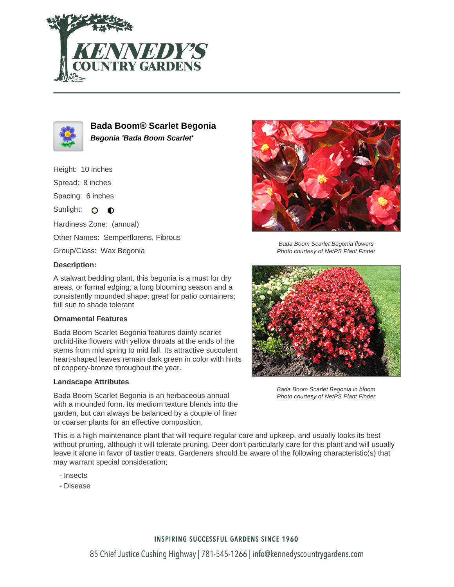



**Bada Boom® Scarlet Begonia Begonia 'Bada Boom Scarlet'**

## Height: 10 inches

Spread: 8 inches

Spacing: 6 inches

Sunlight: O O

Hardiness Zone: (annual)

Other Names: Semperflorens, Fibrous

Group/Class: Wax Begonia

### **Description:**

A stalwart bedding plant, this begonia is a must for dry areas, or formal edging; a long blooming season and a consistently mounded shape; great for patio containers; full sun to shade tolerant

#### **Ornamental Features**

Bada Boom Scarlet Begonia features dainty scarlet orchid-like flowers with yellow throats at the ends of the stems from mid spring to mid fall. Its attractive succulent heart-shaped leaves remain dark green in color with hints of coppery-bronze throughout the year.

#### **Landscape Attributes**

Bada Boom Scarlet Begonia is an herbaceous annual with a mounded form. Its medium texture blends into the garden, but can always be balanced by a couple of finer or coarser plants for an effective composition.

Bada Boom Scarlet Begonia flowers Photo courtesy of NetPS Plant Finder



Bada Boom Scarlet Begonia in bloom Photo courtesy of NetPS Plant Finder

This is a high maintenance plant that will require regular care and upkeep, and usually looks its best without pruning, although it will tolerate pruning. Deer don't particularly care for this plant and will usually leave it alone in favor of tastier treats. Gardeners should be aware of the following characteristic(s) that may warrant special consideration;

- Insects
- Disease